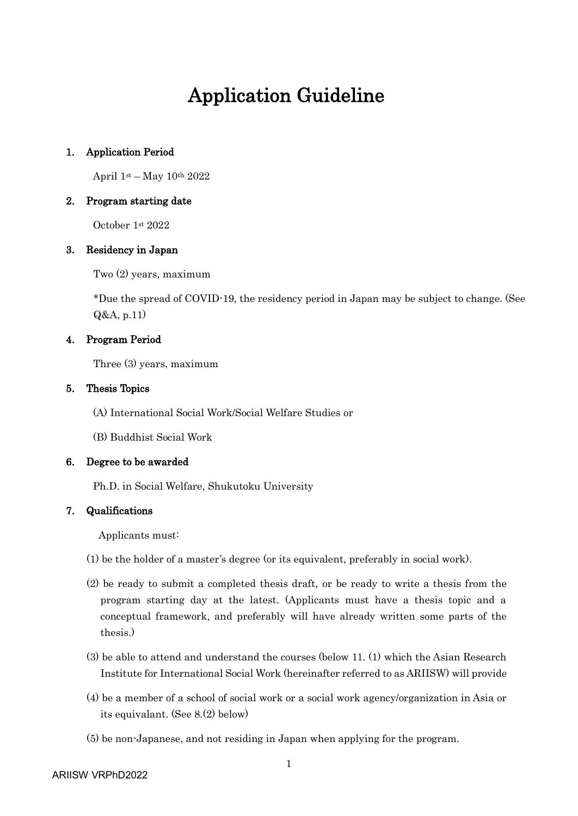## Application Guideline

#### 1. Application Period

April  $1$ <sup>st</sup> – May  $10$ <sup>th</sup> 2022

#### 2. Program starting date

October 1st 2022

#### 3. Residency in Japan

Two (2) years, maximum

\*Due the spread of COVID-19, the residency period in Japan may be subject to change. (See Q&A, p[.11\)](#page-10-0)

#### 4. Program Period

Three (3) years, maximum

#### 5. Thesis Topics

(A) International Social Work/Social Welfare Studies or

(B) Buddhist Social Work

#### 6. Degree to be awarded

Ph.D. in Social Welfare, Shukutoku University

#### <span id="page-0-0"></span>7. Qualifications

Applicants must:

- (1) be the holder of a master's degree (or its equivalent, preferably in social work).
- (2) be ready to submit a completed thesis draft, or be ready to write a thesis from the program starting day at the latest. (Applicants must have a thesis topic and a conceptual framework, and preferably will have already written some parts of the thesis.)
- (3) be able to attend and understand the courses (below [11.](#page-3-0) [\(1\)](#page-3-1) which the Asian Research Institute for International Social Work (hereinafter referred to as ARIISW) will provide
- (4) be a member of a school of social work or a social work agency/organization in Asia or its equivalant. (See [8](#page-1-0)[.\(2\)](#page-1-1) below)
- (5) be non-Japanese, and not residing in Japan when applying for the program.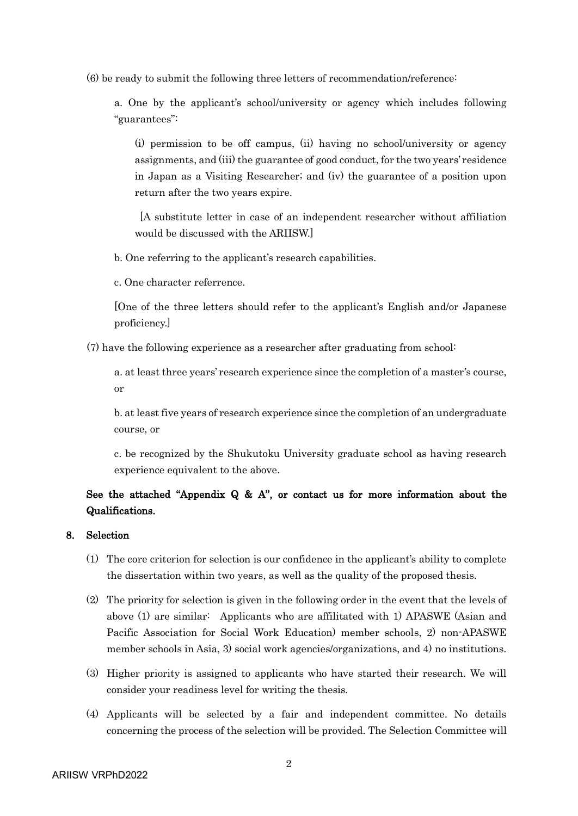(6) be ready to submit the following three letters of recommendation/reference:

a. One by the applicant's school/university or agency which includes following "guarantees":

(i) permission to be off campus, (ii) having no school/university or agency assignments, and (iii) the guarantee of good conduct, for the two years' residence in Japan as a Visiting Researcher; and (iv) the guarantee of a position upon return after the two years expire.

[A substitute letter in case of an independent researcher without affiliation would be discussed with the ARIISW.]

b. One referring to the applicant's research capabilities.

c. One character referrence.

[One of the three letters should refer to the applicant's English and/or Japanese proficiency.]

(7) have the following experience as a researcher after graduating from school:

a. at least three years' research experience since the completion of a master's course, or

b. at least five years of research experience since the completion of an undergraduate course, or

c. be recognized by the Shukutoku University graduate school as having research experience equivalent to the above.

## See the attached "[Appendix Q & A](#page-6-0)", or contact us for more information about the Qualifications.

#### <span id="page-1-0"></span>8. Selection

- (1) The core criterion for selection is our confidence in the applicant's ability to complete the dissertation within two years, as well as the quality of the proposed thesis.
- <span id="page-1-1"></span>(2) The priority for selection is given in the following order in the event that the levels of above (1) are similar: Applicants who are affilitated with 1) APASWE (Asian and Pacific Association for Social Work Education) member schools, 2) non-APASWE member schools in Asia, 3) social work agencies/organizations, and 4) no institutions.
- (3) Higher priority is assigned to applicants who have started their research. We will consider your readiness level for writing the thesis.
- (4) Applicants will be selected by a fair and independent committee. No details concerning the process of the selection will be provided. The Selection Committee will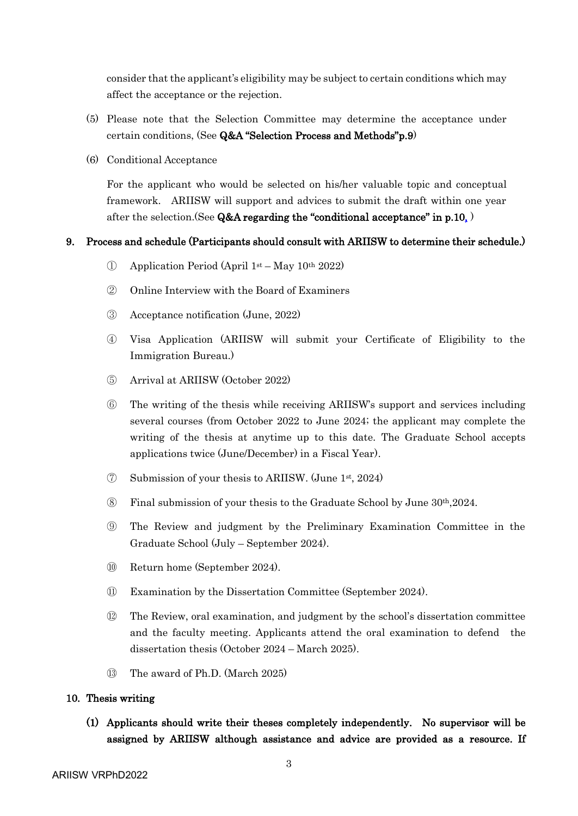consider that the applicant's eligibility may be subject to certain conditions which may affect the acceptance or the rejection.

- (5) Please note that the Selection Committee may determine the acceptance under certain conditions, (See Q&A "[Selection](#page-8-0) Process and Methods"p[.9\)](#page-8-0)
- (6) Conditional Acceptance

For the applicant who would be selected on his/her valuable topic and conceptual framework. ARIISW will support and advices to submit the draft within one year after the selection.(See Q&A regarding the "[conditional acceptance](#page-9-0)" in p[.10,](#page-9-0) )

#### <span id="page-2-0"></span>9. Process and schedule (Participants should consult with ARIISW to determine their schedule.)

- ① Application Period (April 1st May 10th 2022)
- ② Online Interview with the Board of Examiners
- ③ Acceptance notification (June, 2022)
- ④ Visa Application (ARIISW will submit your Certificate of Eligibility to the Immigration Bureau.)
- ⑤ Arrival at ARIISW (October 2022)
- ⑥ The writing of the thesis while receiving ARIISW's support and services including several courses (from October 2022 to June 2024; the applicant may complete the writing of the thesis at anytime up to this date. The Graduate School accepts applications twice (June/December) in a Fiscal Year).
- ⑦ Submission of your thesis to ARIISW. (June 1st , 2024)
- $\circledR$  Final submission of your thesis to the Graduate School by June 30<sup>th</sup>,2024.
- ⑨ The Review and judgment by the Preliminary Examination Committee in the Graduate School (July – September 2024).
- ⑩ Return home (September 2024).
- ⑪ Examination by the Dissertation Committee (September 2024).
- ⑫ The Review, oral examination, and judgment by the school's dissertation committee and the faculty meeting. Applicants attend the oral examination to defend the dissertation thesis (October 2024 – March 2025).
- ⑬ The award of Ph.D. (March 2025)

#### 10. Thesis writing

(1) Applicants should write their theses completely independently. No supervisor will be assigned by ARIISW although assistance and advice are provided as a resource. If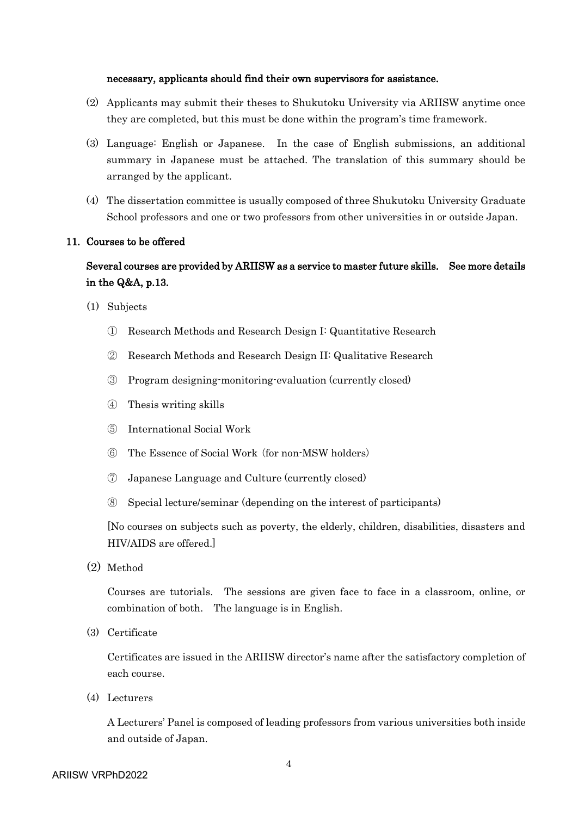#### necessary, applicants should find their own supervisors for assistance.

- (2) Applicants may submit their theses to Shukutoku University via ARIISW anytime once they are completed, but this must be done within the program's time framework.
- (3) Language: English or Japanese. In the case of English submissions, an additional summary in Japanese must be attached. The translation of this summary should be arranged by the applicant.
- (4) The dissertation committee is usually composed of three Shukutoku University Graduate School professors and one or two professors from other universities in or outside Japan.

#### <span id="page-3-0"></span>11. Courses to be offered

## Several courses are provided by ARIISW as a service to master future skills. See more details in the Q&A, p[.13.](#page-12-0)

- <span id="page-3-1"></span>(1) Subjects
	- ① Research Methods and Research Design I: Quantitative Research
	- ② Research Methods and Research Design II: Qualitative Research
	- ③ Program designing-monitoring-evaluation (currently closed)
	- ④ Thesis writing skills
	- ⑤ International Social Work
	- ⑥ The Essence of Social Work (for non-MSW holders)
	- ⑦ Japanese Language and Culture (currently closed)
	- ⑧ Special lecture/seminar (depending on the interest of participants)

[No courses on subjects such as poverty, the elderly, children, disabilities, disasters and HIV/AIDS are offered.]

(2) Method

Courses are tutorials. The sessions are given face to face in a classroom, online, or combination of both. The language is in English.

(3) Certificate

Certificates are issued in the ARIISW director's name after the satisfactory completion of each course.

(4) Lecturers

A Lecturers' Panel is composed of leading professors from various universities both inside and outside of Japan.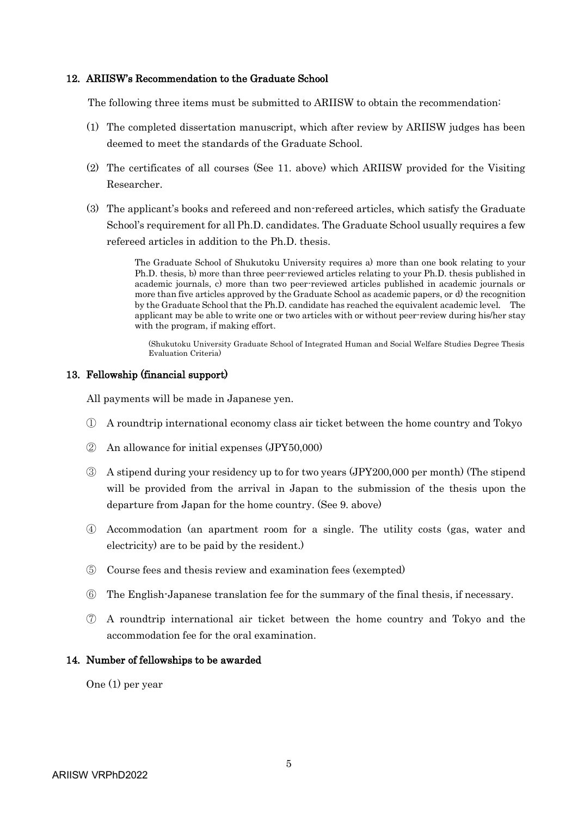#### 12. ARIISW's Recommendation to the Graduate School

The following three items must be submitted to ARIISW to obtain the recommendation:

- (1) The completed dissertation manuscript, which after review by ARIISW judges has been deemed to meet the standards of the Graduate School.
- (2) The certificates of all courses (See [11.](#page-3-0) above) which ARIISW provided for the Visiting Researcher.
- (3) The applicant's books and refereed and non-refereed articles, which satisfy the Graduate School's requirement for all Ph.D. candidates. The Graduate School usually requires a few refereed articles in addition to the Ph.D. thesis.

The Graduate School of Shukutoku University requires a) more than one book relating to your Ph.D. thesis, b) more than three peer-reviewed articles relating to your Ph.D. thesis published in academic journals, c) more than two peer-reviewed articles published in academic journals or more than five articles approved by the Graduate School as academic papers, or d) the recognition by the Graduate School that the Ph.D. candidate has reached the equivalent academic level. The applicant may be able to write one or two articles with or without peer-review during his/her stay with the program, if making effort.

(Shukutoku University Graduate School of Integrated Human and Social Welfare Studies Degree Thesis Evaluation Criteria)

#### 13. Fellowship (financial support)

All payments will be made in Japanese yen.

- ① A roundtrip international economy class air ticket between the home country and Tokyo
- ② An allowance for initial expenses (JPY50,000)
- ③ A stipend during your residency up to for two years (JPY200,000 per month) (The stipend will be provided from the arrival in Japan to the submission of the thesis upon the departure from Japan for the home country. (See [9.](#page-2-0) above)
- ④ Accommodation (an apartment room for a single. The utility costs (gas, water and electricity) are to be paid by the resident.)
- ⑤ Course fees and thesis review and examination fees (exempted)
- ⑥ The English-Japanese translation fee for the summary of the final thesis, if necessary.
- ⑦ A roundtrip international air ticket between the home country and Tokyo and the accommodation fee for the oral examination.

#### 14. Number of fellowships to be awarded

One (1) per year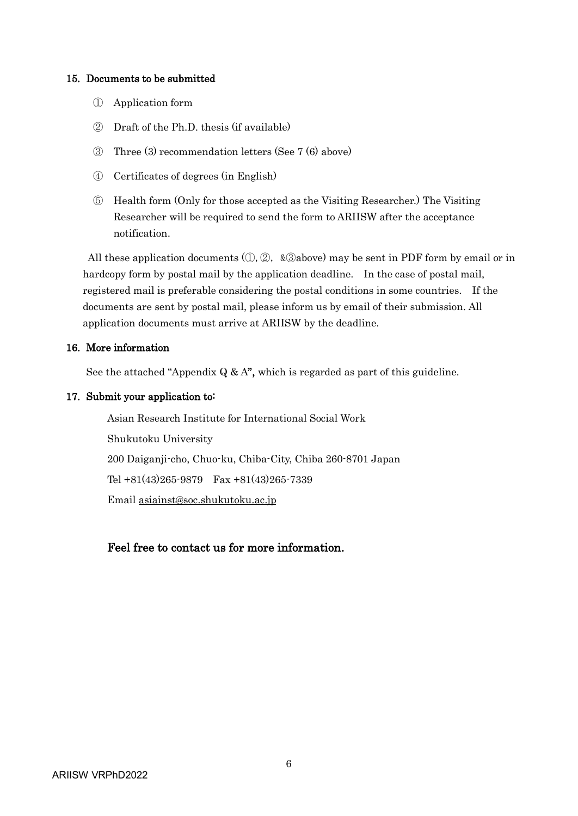#### <span id="page-5-1"></span><span id="page-5-0"></span>15. Documents to be submitted

- ① Application form
- ② Draft of the Ph.D. thesis (if available)
- <span id="page-5-2"></span>③ Three (3) recommendation letters (See [7](#page-0-0) (6) above)
- ④ Certificates of degrees (in English)
- ⑤ Health form (Only for those accepted as the Visiting Researcher.) The Visiting Researcher will be required to send the form to ARIISW after the acceptance notification.

All these application documents  $(0, 2, \&$  3 above) may be sent in PDF form by email or in hardcopy form by postal mail by the application deadline. In the case of postal mail, registered mail is preferable considering the postal conditions in some countries. If the documents are sent by postal mail, please inform us by email of their submission. All application documents must arrive at ARIISW by the deadline.

#### 16. More information

See the attached "[Appendix](#page-6-0)  $Q \& A$ ", which is regarded as part of this guideline.

#### 17. Submit your application to:

Asian Research Institute for International Social Work Shukutoku University 200 Daiganji-cho, Chuo-ku, Chiba-City, Chiba 260-8701 Japan Tel +81(43)265-9879 Fax +81(43)265-7339 Email [asiainst@soc.shukutoku.ac.jp](mailto:asiainst@soc.shukutoku.ac.jp)

### Feel free to contact us for more information.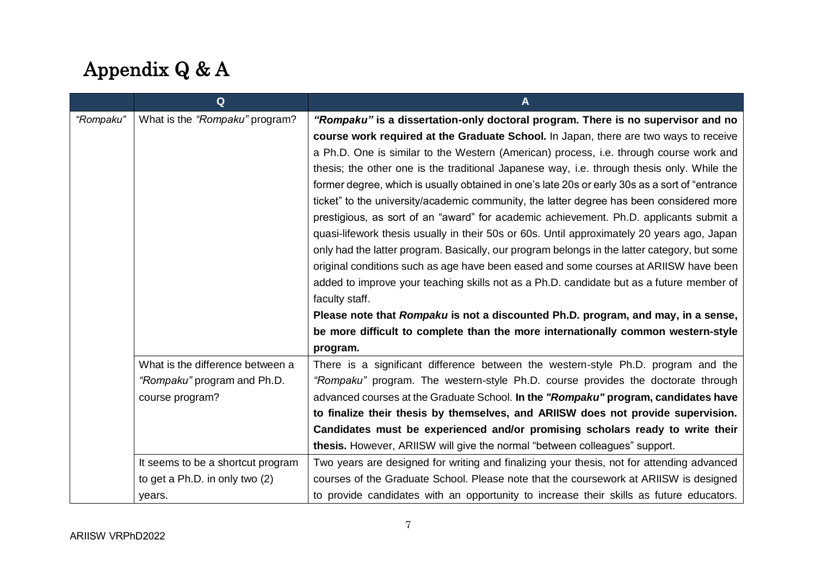# Appendix Q & A

<span id="page-6-0"></span>

|           | Q                                 | A                                                                                               |
|-----------|-----------------------------------|-------------------------------------------------------------------------------------------------|
| "Rompaku" | What is the "Rompaku" program?    | "Rompaku" is a dissertation-only doctoral program. There is no supervisor and no                |
|           |                                   | course work required at the Graduate School. In Japan, there are two ways to receive            |
|           |                                   | a Ph.D. One is similar to the Western (American) process, i.e. through course work and          |
|           |                                   | thesis; the other one is the traditional Japanese way, i.e. through thesis only. While the      |
|           |                                   | former degree, which is usually obtained in one's late 20s or early 30s as a sort of "entrance" |
|           |                                   | ticket" to the university/academic community, the latter degree has been considered more        |
|           |                                   | prestigious, as sort of an "award" for academic achievement. Ph.D. applicants submit a          |
|           |                                   | quasi-lifework thesis usually in their 50s or 60s. Until approximately 20 years ago, Japan      |
|           |                                   | only had the latter program. Basically, our program belongs in the latter category, but some    |
|           |                                   | original conditions such as age have been eased and some courses at ARIISW have been            |
|           |                                   | added to improve your teaching skills not as a Ph.D. candidate but as a future member of        |
|           |                                   | faculty staff.                                                                                  |
|           |                                   | Please note that Rompaku is not a discounted Ph.D. program, and may, in a sense,                |
|           |                                   | be more difficult to complete than the more internationally common western-style                |
|           |                                   | program.                                                                                        |
|           | What is the difference between a  | There is a significant difference between the western-style Ph.D. program and the               |
|           | "Rompaku" program and Ph.D.       | "Rompaku" program. The western-style Ph.D. course provides the doctorate through                |
|           | course program?                   | advanced courses at the Graduate School. In the "Rompaku" program, candidates have              |
|           |                                   | to finalize their thesis by themselves, and ARIISW does not provide supervision.                |
|           |                                   | Candidates must be experienced and/or promising scholars ready to write their                   |
|           |                                   | thesis. However, ARIISW will give the normal "between colleagues" support.                      |
|           | It seems to be a shortcut program | Two years are designed for writing and finalizing your thesis, not for attending advanced       |
|           | to get a Ph.D. in only two (2)    | courses of the Graduate School. Please note that the coursework at ARIISW is designed           |
|           | years.                            | to provide candidates with an opportunity to increase their skills as future educators.         |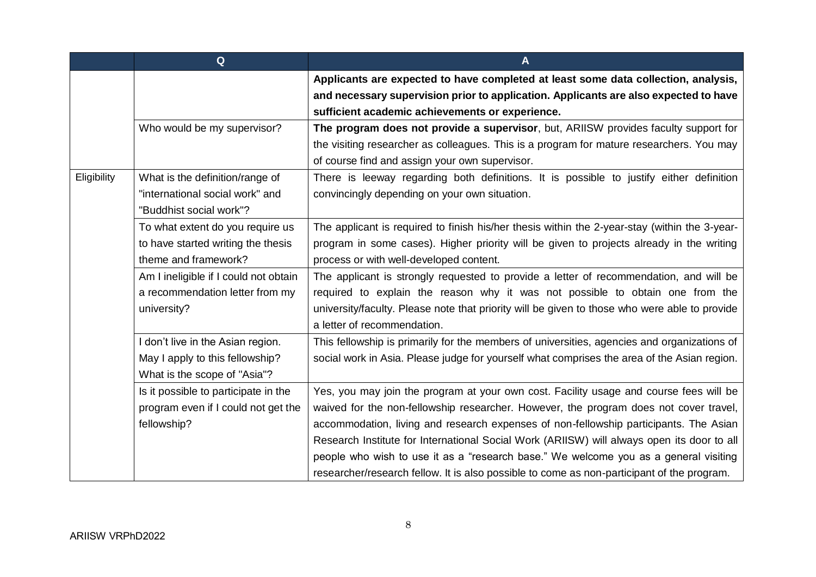|             | Q                                     | A                                                                                             |
|-------------|---------------------------------------|-----------------------------------------------------------------------------------------------|
|             |                                       | Applicants are expected to have completed at least some data collection, analysis,            |
|             |                                       | and necessary supervision prior to application. Applicants are also expected to have          |
|             |                                       | sufficient academic achievements or experience.                                               |
|             | Who would be my supervisor?           | The program does not provide a supervisor, but, ARIISW provides faculty support for           |
|             |                                       | the visiting researcher as colleagues. This is a program for mature researchers. You may      |
|             |                                       | of course find and assign your own supervisor.                                                |
| Eligibility | What is the definition/range of       | There is leeway regarding both definitions. It is possible to justify either definition       |
|             | "international social work" and       | convincingly depending on your own situation.                                                 |
|             | "Buddhist social work"?               |                                                                                               |
|             | To what extent do you require us      | The applicant is required to finish his/her thesis within the 2-year-stay (within the 3-year- |
|             | to have started writing the thesis    | program in some cases). Higher priority will be given to projects already in the writing      |
|             | theme and framework?                  | process or with well-developed content.                                                       |
|             | Am I ineligible if I could not obtain | The applicant is strongly requested to provide a letter of recommendation, and will be        |
|             | a recommendation letter from my       | required to explain the reason why it was not possible to obtain one from the                 |
|             | university?                           | university/faculty. Please note that priority will be given to those who were able to provide |
|             |                                       | a letter of recommendation.                                                                   |
|             | I don't live in the Asian region.     | This fellowship is primarily for the members of universities, agencies and organizations of   |
|             | May I apply to this fellowship?       | social work in Asia. Please judge for yourself what comprises the area of the Asian region.   |
|             | What is the scope of "Asia"?          |                                                                                               |
|             | Is it possible to participate in the  | Yes, you may join the program at your own cost. Facility usage and course fees will be        |
|             | program even if I could not get the   | waived for the non-fellowship researcher. However, the program does not cover travel,         |
|             | fellowship?                           | accommodation, living and research expenses of non-fellowship participants. The Asian         |
|             |                                       | Research Institute for International Social Work (ARIISW) will always open its door to all    |
|             |                                       | people who wish to use it as a "research base." We welcome you as a general visiting          |
|             |                                       | researcher/research fellow. It is also possible to come as non-participant of the program.    |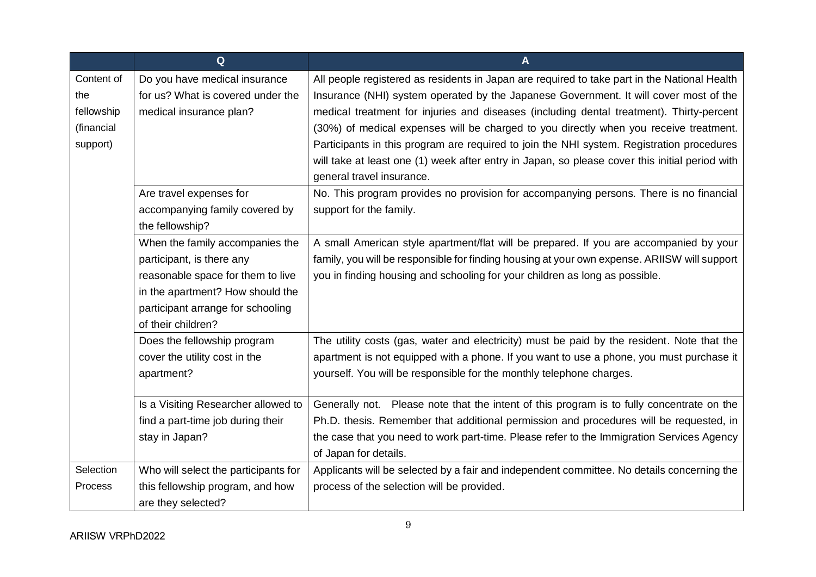<span id="page-8-0"></span>

|            | Q                                    | $\overline{A}$                                                                                 |
|------------|--------------------------------------|------------------------------------------------------------------------------------------------|
| Content of | Do you have medical insurance        | All people registered as residents in Japan are required to take part in the National Health   |
| the        | for us? What is covered under the    | Insurance (NHI) system operated by the Japanese Government. It will cover most of the          |
| fellowship | medical insurance plan?              | medical treatment for injuries and diseases (including dental treatment). Thirty-percent       |
| (financial |                                      | (30%) of medical expenses will be charged to you directly when you receive treatment.          |
| support)   |                                      | Participants in this program are required to join the NHI system. Registration procedures      |
|            |                                      | will take at least one (1) week after entry in Japan, so please cover this initial period with |
|            |                                      | general travel insurance.                                                                      |
|            | Are travel expenses for              | No. This program provides no provision for accompanying persons. There is no financial         |
|            | accompanying family covered by       | support for the family.                                                                        |
|            | the fellowship?                      |                                                                                                |
|            | When the family accompanies the      | A small American style apartment/flat will be prepared. If you are accompanied by your         |
|            | participant, is there any            | family, you will be responsible for finding housing at your own expense. ARIISW will support   |
|            | reasonable space for them to live    | you in finding housing and schooling for your children as long as possible.                    |
|            | in the apartment? How should the     |                                                                                                |
|            | participant arrange for schooling    |                                                                                                |
|            | of their children?                   |                                                                                                |
|            | Does the fellowship program          | The utility costs (gas, water and electricity) must be paid by the resident. Note that the     |
|            | cover the utility cost in the        | apartment is not equipped with a phone. If you want to use a phone, you must purchase it       |
|            | apartment?                           | yourself. You will be responsible for the monthly telephone charges.                           |
|            | Is a Visiting Researcher allowed to  | Generally not. Please note that the intent of this program is to fully concentrate on the      |
|            | find a part-time job during their    | Ph.D. thesis. Remember that additional permission and procedures will be requested, in         |
|            | stay in Japan?                       | the case that you need to work part-time. Please refer to the Immigration Services Agency      |
|            |                                      | of Japan for details.                                                                          |
| Selection  | Who will select the participants for | Applicants will be selected by a fair and independent committee. No details concerning the     |
| Process    | this fellowship program, and how     | process of the selection will be provided.                                                     |
|            | are they selected?                   |                                                                                                |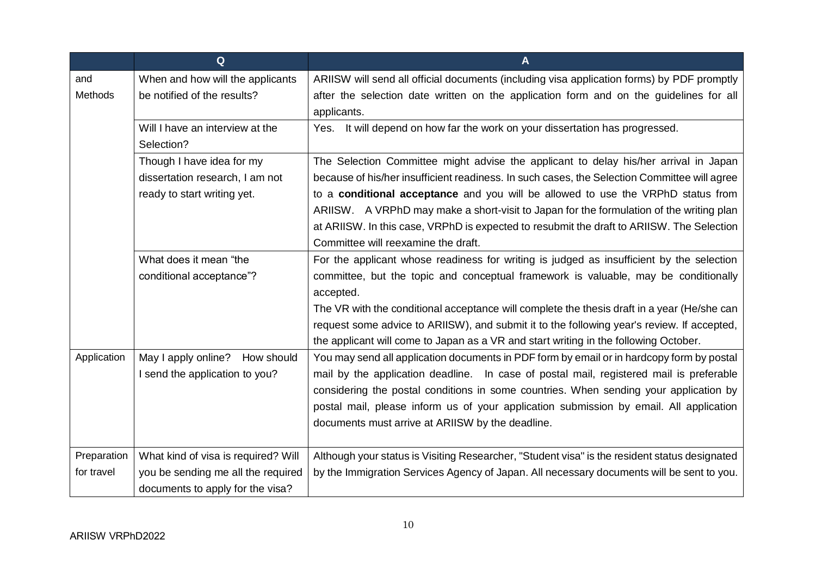<span id="page-9-0"></span>

|             | Q                                   | A                                                                                             |
|-------------|-------------------------------------|-----------------------------------------------------------------------------------------------|
| and         | When and how will the applicants    | ARIISW will send all official documents (including visa application forms) by PDF promptly    |
| Methods     | be notified of the results?         | after the selection date written on the application form and on the guidelines for all        |
|             |                                     | applicants.                                                                                   |
|             | Will I have an interview at the     | It will depend on how far the work on your dissertation has progressed.<br>Yes.               |
|             | Selection?                          |                                                                                               |
|             | Though I have idea for my           | The Selection Committee might advise the applicant to delay his/her arrival in Japan          |
|             | dissertation research, I am not     | because of his/her insufficient readiness. In such cases, the Selection Committee will agree  |
|             | ready to start writing yet.         | to a conditional acceptance and you will be allowed to use the VRPhD status from              |
|             |                                     | ARIISW. A VRPhD may make a short-visit to Japan for the formulation of the writing plan       |
|             |                                     | at ARIISW. In this case, VRPhD is expected to resubmit the draft to ARIISW. The Selection     |
|             |                                     | Committee will reexamine the draft.                                                           |
|             | What does it mean "the              | For the applicant whose readiness for writing is judged as insufficient by the selection      |
|             | conditional acceptance"?            | committee, but the topic and conceptual framework is valuable, may be conditionally           |
|             |                                     | accepted.                                                                                     |
|             |                                     | The VR with the conditional acceptance will complete the thesis draft in a year (He/she can   |
|             |                                     | request some advice to ARIISW), and submit it to the following year's review. If accepted,    |
|             |                                     | the applicant will come to Japan as a VR and start writing in the following October.          |
| Application | May I apply online? How should      | You may send all application documents in PDF form by email or in hardcopy form by postal     |
|             | I send the application to you?      | mail by the application deadline. In case of postal mail, registered mail is preferable       |
|             |                                     | considering the postal conditions in some countries. When sending your application by         |
|             |                                     | postal mail, please inform us of your application submission by email. All application        |
|             |                                     | documents must arrive at ARIISW by the deadline.                                              |
|             |                                     |                                                                                               |
| Preparation | What kind of visa is required? Will | Although your status is Visiting Researcher, "Student visa" is the resident status designated |
| for travel  | you be sending me all the required  | by the Immigration Services Agency of Japan. All necessary documents will be sent to you.     |
|             | documents to apply for the visa?    |                                                                                               |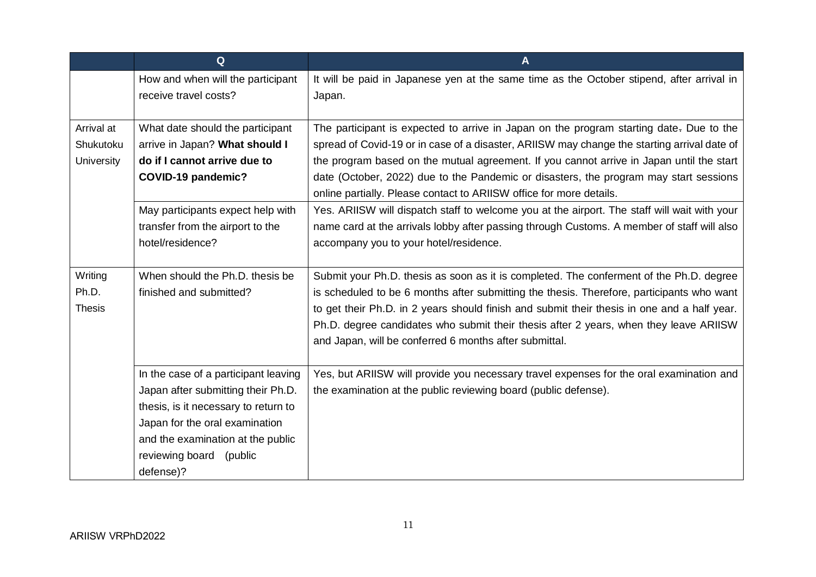<span id="page-10-0"></span>

|               | $\mathbf Q$                          | A                                                                                            |
|---------------|--------------------------------------|----------------------------------------------------------------------------------------------|
|               | How and when will the participant    | It will be paid in Japanese yen at the same time as the October stipend, after arrival in    |
|               | receive travel costs?                | Japan.                                                                                       |
| Arrival at    |                                      |                                                                                              |
| Shukutoku     | What date should the participant     | The participant is expected to arrive in Japan on the program starting date. Due to the      |
|               | arrive in Japan? What should I       | spread of Covid-19 or in case of a disaster, ARIISW may change the starting arrival date of  |
| University    | do if I cannot arrive due to         | the program based on the mutual agreement. If you cannot arrive in Japan until the start     |
|               | <b>COVID-19 pandemic?</b>            | date (October, 2022) due to the Pandemic or disasters, the program may start sessions        |
|               |                                      | online partially. Please contact to ARIISW office for more details.                          |
|               | May participants expect help with    | Yes. ARIISW will dispatch staff to welcome you at the airport. The staff will wait with your |
|               | transfer from the airport to the     | name card at the arrivals lobby after passing through Customs. A member of staff will also   |
|               | hotel/residence?                     | accompany you to your hotel/residence.                                                       |
|               |                                      |                                                                                              |
| Writing       | When should the Ph.D. thesis be      | Submit your Ph.D. thesis as soon as it is completed. The conferment of the Ph.D. degree      |
| Ph.D.         | finished and submitted?              | is scheduled to be 6 months after submitting the thesis. Therefore, participants who want    |
| <b>Thesis</b> |                                      | to get their Ph.D. in 2 years should finish and submit their thesis in one and a half year.  |
|               |                                      | Ph.D. degree candidates who submit their thesis after 2 years, when they leave ARIISW        |
|               |                                      | and Japan, will be conferred 6 months after submittal.                                       |
|               |                                      |                                                                                              |
|               | In the case of a participant leaving | Yes, but ARIISW will provide you necessary travel expenses for the oral examination and      |
|               | Japan after submitting their Ph.D.   | the examination at the public reviewing board (public defense).                              |
|               | thesis, is it necessary to return to |                                                                                              |
|               | Japan for the oral examination       |                                                                                              |
|               | and the examination at the public    |                                                                                              |
|               | reviewing board (public              |                                                                                              |
|               | defense)?                            |                                                                                              |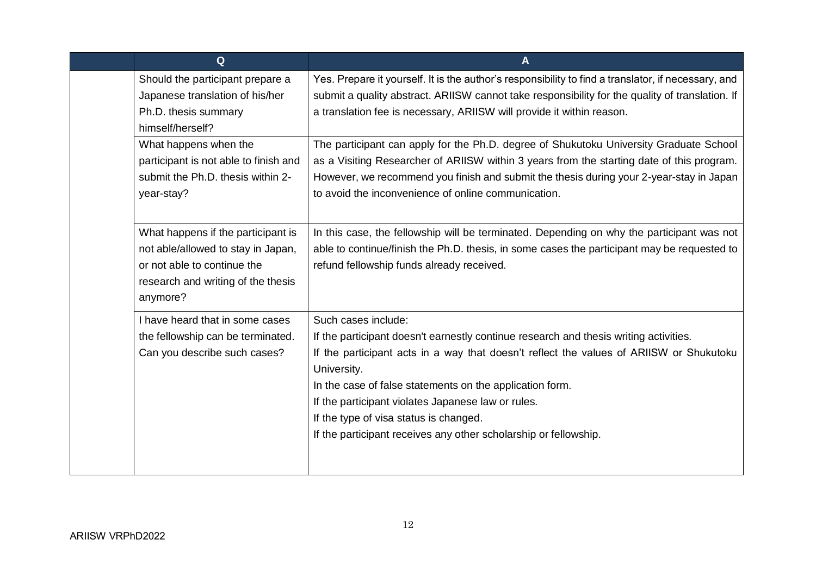|  | Q                                                                                                                                                         | A                                                                                                                                                                                                                                                                                                                                                                                                                                                      |
|--|-----------------------------------------------------------------------------------------------------------------------------------------------------------|--------------------------------------------------------------------------------------------------------------------------------------------------------------------------------------------------------------------------------------------------------------------------------------------------------------------------------------------------------------------------------------------------------------------------------------------------------|
|  | Should the participant prepare a<br>Japanese translation of his/her<br>Ph.D. thesis summary<br>himself/herself?                                           | Yes. Prepare it yourself. It is the author's responsibility to find a translator, if necessary, and<br>submit a quality abstract. ARIISW cannot take responsibility for the quality of translation. If<br>a translation fee is necessary, ARIISW will provide it within reason.                                                                                                                                                                        |
|  | What happens when the<br>participant is not able to finish and<br>submit the Ph.D. thesis within 2-<br>year-stay?                                         | The participant can apply for the Ph.D. degree of Shukutoku University Graduate School<br>as a Visiting Researcher of ARIISW within 3 years from the starting date of this program.<br>However, we recommend you finish and submit the thesis during your 2-year-stay in Japan<br>to avoid the inconvenience of online communication.                                                                                                                  |
|  | What happens if the participant is<br>not able/allowed to stay in Japan,<br>or not able to continue the<br>research and writing of the thesis<br>anymore? | In this case, the fellowship will be terminated. Depending on why the participant was not<br>able to continue/finish the Ph.D. thesis, in some cases the participant may be requested to<br>refund fellowship funds already received.                                                                                                                                                                                                                  |
|  | I have heard that in some cases<br>the fellowship can be terminated.<br>Can you describe such cases?                                                      | Such cases include:<br>If the participant doesn't earnestly continue research and thesis writing activities.<br>If the participant acts in a way that doesn't reflect the values of ARIISW or Shukutoku<br>University.<br>In the case of false statements on the application form.<br>If the participant violates Japanese law or rules.<br>If the type of visa status is changed.<br>If the participant receives any other scholarship or fellowship. |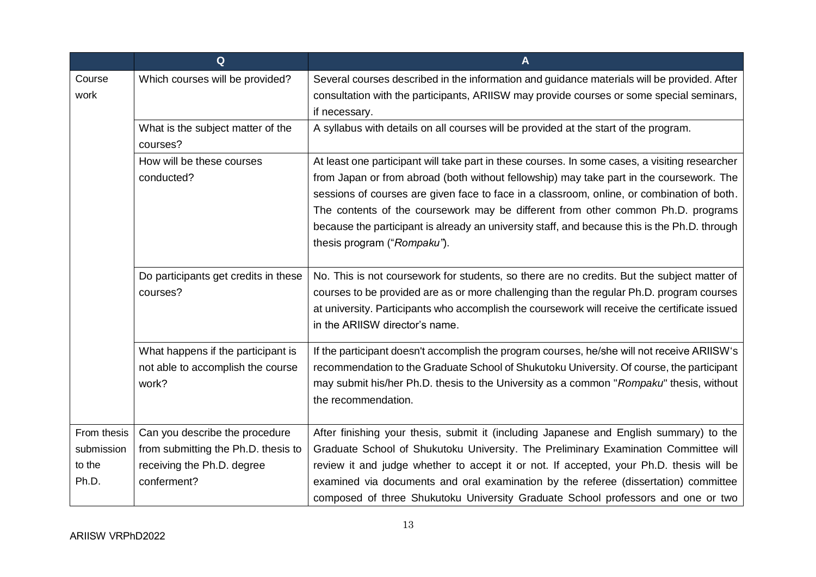<span id="page-12-0"></span>

|             | Q                                             | A                                                                                              |
|-------------|-----------------------------------------------|------------------------------------------------------------------------------------------------|
| Course      | Which courses will be provided?               | Several courses described in the information and guidance materials will be provided. After    |
| work        |                                               | consultation with the participants, ARIISW may provide courses or some special seminars,       |
|             |                                               | if necessary.                                                                                  |
|             | What is the subject matter of the<br>courses? | A syllabus with details on all courses will be provided at the start of the program.           |
|             | How will be these courses                     | At least one participant will take part in these courses. In some cases, a visiting researcher |
|             | conducted?                                    | from Japan or from abroad (both without fellowship) may take part in the coursework. The       |
|             |                                               | sessions of courses are given face to face in a classroom, online, or combination of both.     |
|             |                                               | The contents of the coursework may be different from other common Ph.D. programs               |
|             |                                               | because the participant is already an university staff, and because this is the Ph.D. through  |
|             |                                               | thesis program ("Rompaku").                                                                    |
|             |                                               |                                                                                                |
|             | Do participants get credits in these          | No. This is not coursework for students, so there are no credits. But the subject matter of    |
|             | courses?                                      | courses to be provided are as or more challenging than the regular Ph.D. program courses       |
|             |                                               | at university. Participants who accomplish the coursework will receive the certificate issued  |
|             |                                               | in the ARIISW director's name.                                                                 |
|             | What happens if the participant is            | If the participant doesn't accomplish the program courses, he/she will not receive ARIISW's    |
|             | not able to accomplish the course             | recommendation to the Graduate School of Shukutoku University. Of course, the participant      |
|             | work?                                         | may submit his/her Ph.D. thesis to the University as a common "Rompaku" thesis, without        |
|             |                                               | the recommendation.                                                                            |
|             |                                               |                                                                                                |
| From thesis | Can you describe the procedure                | After finishing your thesis, submit it (including Japanese and English summary) to the         |
| submission  | from submitting the Ph.D. thesis to           | Graduate School of Shukutoku University. The Preliminary Examination Committee will            |
| to the      | receiving the Ph.D. degree                    | review it and judge whether to accept it or not. If accepted, your Ph.D. thesis will be        |
| Ph.D.       | conferment?                                   | examined via documents and oral examination by the referee (dissertation) committee            |
|             |                                               | composed of three Shukutoku University Graduate School professors and one or two               |